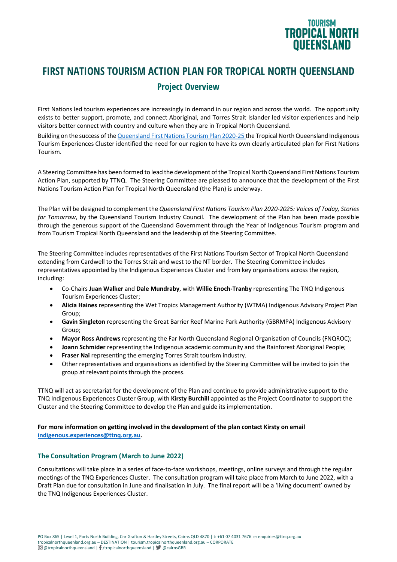

# **FIRST NATIONS TOURISM ACTION PLAN FOR TROPICAL NORTH QUEENSLAND Project Overview**

First Nations led tourism experiences are increasingly in demand in our region and across the world. The opportunity exists to better support, promote, and connect Aboriginal, and Torres Strait Islander led visitor experiences and help visitors better connect with country and culture when they are in Tropical North Queensland.

Building on the success of the Queensland First Nations Tourism Plan 2020-25 the Tropical North Queensland Indigenous Tourism Experiences Cluster identified the need for our region to have its own clearly articulated plan for First Nations Tourism.

A Steering Committee has been formed to lead the development of the Tropical North Queensland First Nations Tourism Action Plan, supported by TTNQ. The Steering Committee are pleased to announce that the development of the First Nations Tourism Action Plan for Tropical North Queensland (the Plan) is underway.

The Plan will be designed to complement the *Queensland First Nations Tourism Plan 2020-2025: Voices of Today, Stories for Tomorrow*, by the Queensland Tourism Industry Council. The development of the Plan has been made possible through the generous support of the Queensland Government through the Year of Indigenous Tourism program and from Tourism Tropical North Queensland and the leadership of the Steering Committee.

The Steering Committee includes representatives of the First Nations Tourism Sector of Tropical North Queensland extending from Cardwell to the Torres Strait and west to the NT border. The Steering Committee includes representatives appointed by the Indigenous Experiences Cluster and from key organisations across the region, including:

- Co-Chairs **Juan Walker** and **Dale Mundraby**, with **Willie Enoch-Tranby** representing The TNQ Indigenous Tourism Experiences Cluster;
- **Alicia Haines** representing the Wet Tropics Management Authority (WTMA) Indigenous Advisory Project Plan Group;
- **Gavin Singleton** representing the Great Barrier Reef Marine Park Authority (GBRMPA) Indigenous Advisory Group;
- **Mayor Ross Andrews** representing the Far North Queensland Regional Organisation of Councils (FNQROC);
- **Joann Schmider** representing the Indigenous academic community and the Rainforest Aboriginal People;
- **Fraser Nai** representing the emerging Torres Strait tourism industry.
- Other representatives and organisations as identified by the Steering Committee will be invited to join the group at relevant points through the process.

TTNQ will act as secretariat for the development of the Plan and continue to provide administrative support to the TNQ Indigenous Experiences Cluster Group, with **Kirsty Burchill** appointed as the Project Coordinator to support the Cluster and the Steering Committee to develop the Plan and guide its implementation.

# **For more information on getting involved in the development of the plan contact Kirsty on email**

**indigenous.experiences@ttnq.org.au.**

# **The Consultation Program (March to June 2022)**

Consultations will take place in a series of face-to-face workshops, meetings, online surveys and through the regular meetings of the TNQ Experiences Cluster. The consultation program will take place from March to June 2022, with a Draft Plan due for consultation in June and finalisation in July. The final report will be a 'living document' owned by the TNQ Indigenous Experiences Cluster.